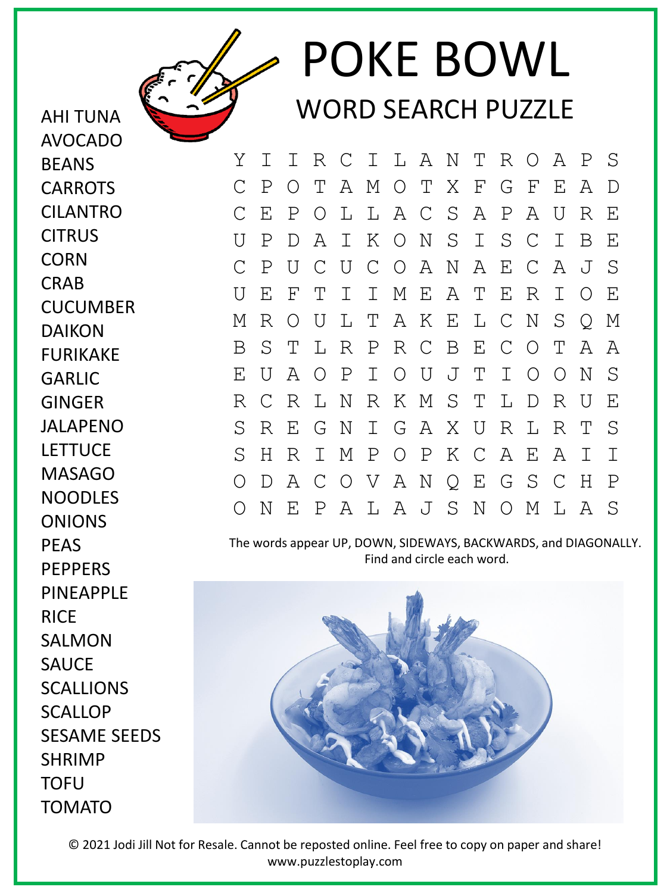

## POKE BOWL WORD SEARCH PUZZLE

Y I I R C I L A N T R O A P S C P O T A M O T X F G F E A D C E P O L L A C S A P A U R E U P D A I K O N S I S C I B E C P U C U C O A N A E C A J S U E F T I I M E A T E R I O E M R O U L T A K E L C N S Q M B S T L R P R C B E C O T A A E U A O P I O U J T I O O N S R C R L N R K M S T L D R U E S R E G N I G A X U R L R T S S H R I M P O P K C A E A I I O D A C O V A N Q E G S C H P O N E P A L A J S N O M L A S

The words appear UP, DOWN, SIDEWAYS, BACKWARDS, and DIAGONALLY. Find and circle each word.



© 2021 Jodi Jill Not for Resale. Cannot be reposted online. Feel free to copy on paper and share! www.puzzlestoplay.com

CARROTS CILANTRO **CITRUS CORN** CRAB **CUCUMBER** DAIKON FURIKAKE GARLIC GINGER JALAPENO LETTUCE MASAGO NOODLES ONIONS PEAS **PEPPERS** PINEAPPLE RICE SALMON **SAUCE** SCALLIONS **SCALLOP** SESAME SEEDS SHRIMP **TOFU** TOMATO

AHI TUNA AVOCADO

BEANS